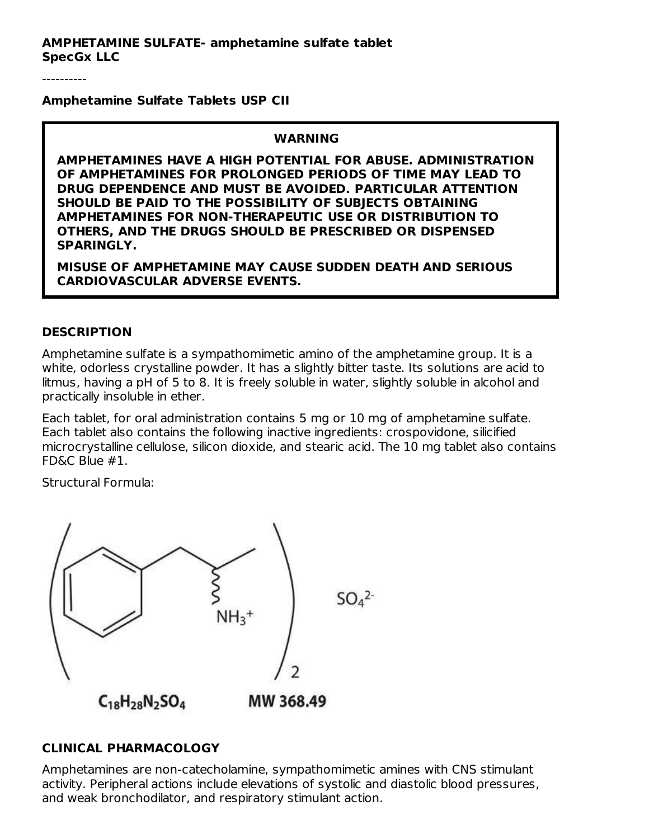----------

#### **Amphetamine Sulfate Tablets USP CII**

#### **WARNING**

**AMPHETAMINES HAVE A HIGH POTENTIAL FOR ABUSE. ADMINISTRATION OF AMPHETAMINES FOR PROLONGED PERIODS OF TIME MAY LEAD TO DRUG DEPENDENCE AND MUST BE AVOIDED. PARTICULAR ATTENTION SHOULD BE PAID TO THE POSSIBILITY OF SUBJECTS OBTAINING AMPHETAMINES FOR NON-THERAPEUTIC USE OR DISTRIBUTION TO OTHERS, AND THE DRUGS SHOULD BE PRESCRIBED OR DISPENSED SPARINGLY.**

**MISUSE OF AMPHETAMINE MAY CAUSE SUDDEN DEATH AND SERIOUS CARDIOVASCULAR ADVERSE EVENTS.**

#### **DESCRIPTION**

Amphetamine sulfate is a sympathomimetic amino of the amphetamine group. It is a white, odorless crystalline powder. It has a slightly bitter taste. Its solutions are acid to litmus, having a pH of 5 to 8. It is freely soluble in water, slightly soluble in alcohol and practically insoluble in ether.

Each tablet, for oral administration contains 5 mg or 10 mg of amphetamine sulfate. Each tablet also contains the following inactive ingredients: crospovidone, silicified microcrystalline cellulose, silicon dioxide, and stearic acid. The 10 mg tablet also contains FD&C Blue #1.

Structural Formula:



# **CLINICAL PHARMACOLOGY**

Amphetamines are non-catecholamine, sympathomimetic amines with CNS stimulant activity. Peripheral actions include elevations of systolic and diastolic blood pressures, and weak bronchodilator, and respiratory stimulant action.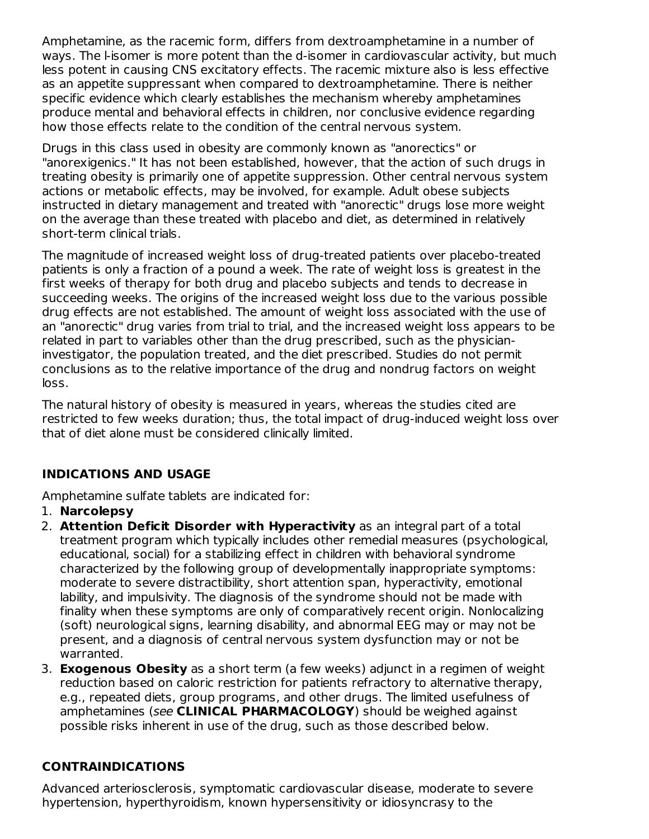Amphetamine, as the racemic form, differs from dextroamphetamine in a number of ways. The l-isomer is more potent than the d-isomer in cardiovascular activity, but much less potent in causing CNS excitatory effects. The racemic mixture also is less effective as an appetite suppressant when compared to dextroamphetamine. There is neither specific evidence which clearly establishes the mechanism whereby amphetamines produce mental and behavioral effects in children, nor conclusive evidence regarding how those effects relate to the condition of the central nervous system.

Drugs in this class used in obesity are commonly known as "anorectics" or "anorexigenics." It has not been established, however, that the action of such drugs in treating obesity is primarily one of appetite suppression. Other central nervous system actions or metabolic effects, may be involved, for example. Adult obese subjects instructed in dietary management and treated with "anorectic" drugs lose more weight on the average than these treated with placebo and diet, as determined in relatively short-term clinical trials.

The magnitude of increased weight loss of drug-treated patients over placebo-treated patients is only a fraction of a pound a week. The rate of weight loss is greatest in the first weeks of therapy for both drug and placebo subjects and tends to decrease in succeeding weeks. The origins of the increased weight loss due to the various possible drug effects are not established. The amount of weight loss associated with the use of an "anorectic" drug varies from trial to trial, and the increased weight loss appears to be related in part to variables other than the drug prescribed, such as the physicianinvestigator, the population treated, and the diet prescribed. Studies do not permit conclusions as to the relative importance of the drug and nondrug factors on weight loss.

The natural history of obesity is measured in years, whereas the studies cited are restricted to few weeks duration; thus, the total impact of drug-induced weight loss over that of diet alone must be considered clinically limited.

# **INDICATIONS AND USAGE**

Amphetamine sulfate tablets are indicated for:

- 1. **Narcolepsy**
- 2. **Attention Deficit Disorder with Hyperactivity** as an integral part of a total treatment program which typically includes other remedial measures (psychological, educational, social) for a stabilizing effect in children with behavioral syndrome characterized by the following group of developmentally inappropriate symptoms: moderate to severe distractibility, short attention span, hyperactivity, emotional lability, and impulsivity. The diagnosis of the syndrome should not be made with finality when these symptoms are only of comparatively recent origin. Nonlocalizing (soft) neurological signs, learning disability, and abnormal EEG may or may not be present, and a diagnosis of central nervous system dysfunction may or not be warranted.
- 3. **Exogenous Obesity** as a short term (a few weeks) adjunct in a regimen of weight reduction based on caloric restriction for patients refractory to alternative therapy, e.g., repeated diets, group programs, and other drugs. The limited usefulness of amphetamines (see **CLINICAL PHARMACOLOGY**) should be weighed against possible risks inherent in use of the drug, such as those described below.

# **CONTRAINDICATIONS**

Advanced arteriosclerosis, symptomatic cardiovascular disease, moderate to severe hypertension, hyperthyroidism, known hypersensitivity or idiosyncrasy to the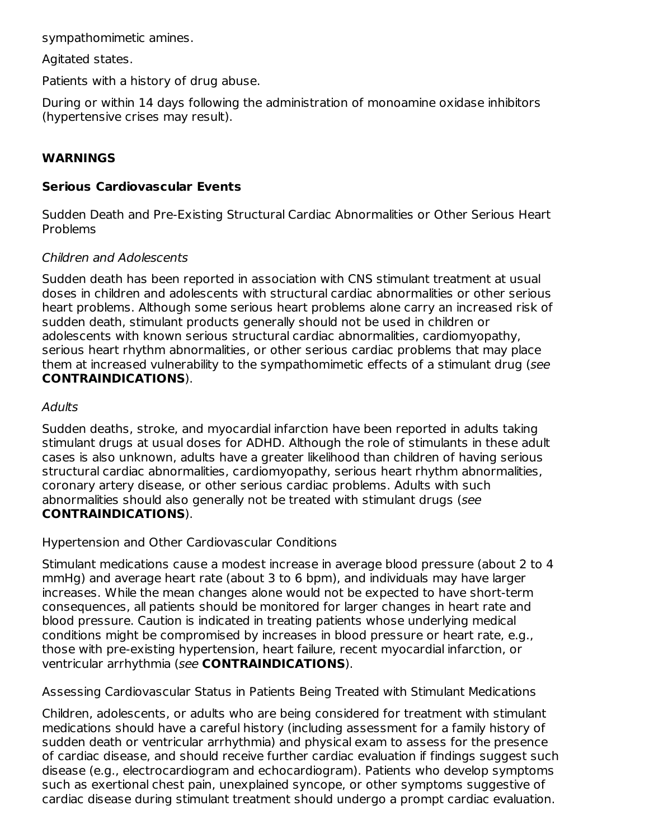sympathomimetic amines.

Agitated states.

Patients with a history of drug abuse.

During or within 14 days following the administration of monoamine oxidase inhibitors (hypertensive crises may result).

# **WARNINGS**

# **Serious Cardiovascular Events**

Sudden Death and Pre-Existing Structural Cardiac Abnormalities or Other Serious Heart Problems

# Children and Adolescents

Sudden death has been reported in association with CNS stimulant treatment at usual doses in children and adolescents with structural cardiac abnormalities or other serious heart problems. Although some serious heart problems alone carry an increased risk of sudden death, stimulant products generally should not be used in children or adolescents with known serious structural cardiac abnormalities, cardiomyopathy, serious heart rhythm abnormalities, or other serious cardiac problems that may place them at increased vulnerability to the sympathomimetic effects of a stimulant drug (see **CONTRAINDICATIONS**).

# Adults

Sudden deaths, stroke, and myocardial infarction have been reported in adults taking stimulant drugs at usual doses for ADHD. Although the role of stimulants in these adult cases is also unknown, adults have a greater likelihood than children of having serious structural cardiac abnormalities, cardiomyopathy, serious heart rhythm abnormalities, coronary artery disease, or other serious cardiac problems. Adults with such abnormalities should also generally not be treated with stimulant drugs (see **CONTRAINDICATIONS**).

Hypertension and Other Cardiovascular Conditions

Stimulant medications cause a modest increase in average blood pressure (about 2 to 4 mmHg) and average heart rate (about 3 to 6 bpm), and individuals may have larger increases. While the mean changes alone would not be expected to have short-term consequences, all patients should be monitored for larger changes in heart rate and blood pressure. Caution is indicated in treating patients whose underlying medical conditions might be compromised by increases in blood pressure or heart rate, e.g., those with pre-existing hypertension, heart failure, recent myocardial infarction, or ventricular arrhythmia (see **CONTRAINDICATIONS**).

Assessing Cardiovascular Status in Patients Being Treated with Stimulant Medications

Children, adolescents, or adults who are being considered for treatment with stimulant medications should have a careful history (including assessment for a family history of sudden death or ventricular arrhythmia) and physical exam to assess for the presence of cardiac disease, and should receive further cardiac evaluation if findings suggest such disease (e.g., electrocardiogram and echocardiogram). Patients who develop symptoms such as exertional chest pain, unexplained syncope, or other symptoms suggestive of cardiac disease during stimulant treatment should undergo a prompt cardiac evaluation.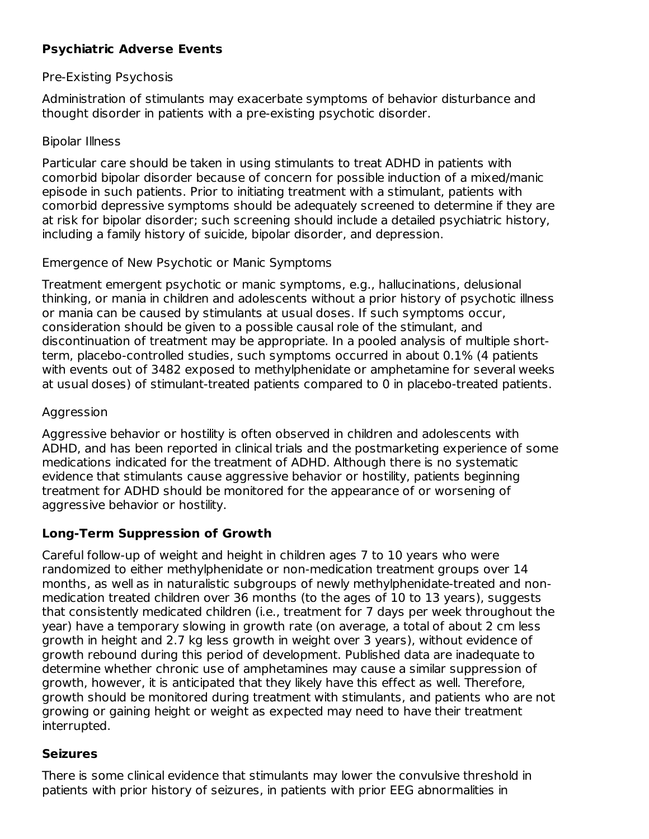# **Psychiatric Adverse Events**

## Pre-Existing Psychosis

Administration of stimulants may exacerbate symptoms of behavior disturbance and thought disorder in patients with a pre-existing psychotic disorder.

#### Bipolar Illness

Particular care should be taken in using stimulants to treat ADHD in patients with comorbid bipolar disorder because of concern for possible induction of a mixed/manic episode in such patients. Prior to initiating treatment with a stimulant, patients with comorbid depressive symptoms should be adequately screened to determine if they are at risk for bipolar disorder; such screening should include a detailed psychiatric history, including a family history of suicide, bipolar disorder, and depression.

#### Emergence of New Psychotic or Manic Symptoms

Treatment emergent psychotic or manic symptoms, e.g., hallucinations, delusional thinking, or mania in children and adolescents without a prior history of psychotic illness or mania can be caused by stimulants at usual doses. If such symptoms occur, consideration should be given to a possible causal role of the stimulant, and discontinuation of treatment may be appropriate. In a pooled analysis of multiple shortterm, placebo-controlled studies, such symptoms occurred in about 0.1% (4 patients with events out of 3482 exposed to methylphenidate or amphetamine for several weeks at usual doses) of stimulant-treated patients compared to 0 in placebo-treated patients.

## Aggression

Aggressive behavior or hostility is often observed in children and adolescents with ADHD, and has been reported in clinical trials and the postmarketing experience of some medications indicated for the treatment of ADHD. Although there is no systematic evidence that stimulants cause aggressive behavior or hostility, patients beginning treatment for ADHD should be monitored for the appearance of or worsening of aggressive behavior or hostility.

# **Long-Term Suppression of Growth**

Careful follow-up of weight and height in children ages 7 to 10 years who were randomized to either methylphenidate or non-medication treatment groups over 14 months, as well as in naturalistic subgroups of newly methylphenidate-treated and nonmedication treated children over 36 months (to the ages of 10 to 13 years), suggests that consistently medicated children (i.e., treatment for 7 days per week throughout the year) have a temporary slowing in growth rate (on average, a total of about 2 cm less growth in height and 2.7 kg less growth in weight over 3 years), without evidence of growth rebound during this period of development. Published data are inadequate to determine whether chronic use of amphetamines may cause a similar suppression of growth, however, it is anticipated that they likely have this effect as well. Therefore, growth should be monitored during treatment with stimulants, and patients who are not growing or gaining height or weight as expected may need to have their treatment interrupted.

# **Seizures**

There is some clinical evidence that stimulants may lower the convulsive threshold in patients with prior history of seizures, in patients with prior EEG abnormalities in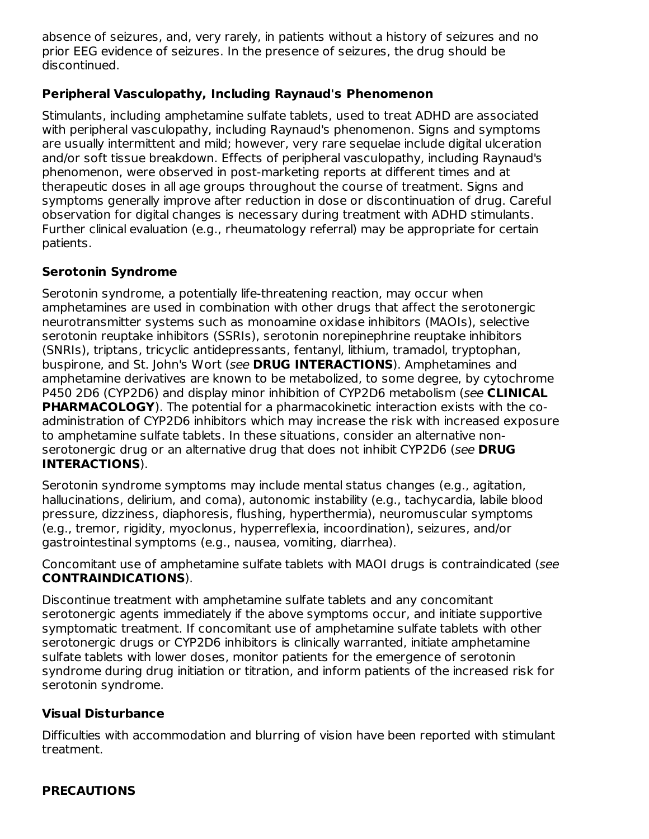absence of seizures, and, very rarely, in patients without a history of seizures and no prior EEG evidence of seizures. In the presence of seizures, the drug should be discontinued.

# **Peripheral Vasculopathy, Including Raynaud's Phenomenon**

Stimulants, including amphetamine sulfate tablets, used to treat ADHD are associated with peripheral vasculopathy, including Raynaud's phenomenon. Signs and symptoms are usually intermittent and mild; however, very rare sequelae include digital ulceration and/or soft tissue breakdown. Effects of peripheral vasculopathy, including Raynaud's phenomenon, were observed in post-marketing reports at different times and at therapeutic doses in all age groups throughout the course of treatment. Signs and symptoms generally improve after reduction in dose or discontinuation of drug. Careful observation for digital changes is necessary during treatment with ADHD stimulants. Further clinical evaluation (e.g., rheumatology referral) may be appropriate for certain patients.

## **Serotonin Syndrome**

Serotonin syndrome, a potentially life-threatening reaction, may occur when amphetamines are used in combination with other drugs that affect the serotonergic neurotransmitter systems such as monoamine oxidase inhibitors (MAOIs), selective serotonin reuptake inhibitors (SSRIs), serotonin norepinephrine reuptake inhibitors (SNRIs), triptans, tricyclic antidepressants, fentanyl, lithium, tramadol, tryptophan, buspirone, and St. John's Wort (see **DRUG INTERACTIONS**). Amphetamines and amphetamine derivatives are known to be metabolized, to some degree, by cytochrome P450 2D6 (CYP2D6) and display minor inhibition of CYP2D6 metabolism (see **CLINICAL PHARMACOLOGY**). The potential for a pharmacokinetic interaction exists with the coadministration of CYP2D6 inhibitors which may increase the risk with increased exposure to amphetamine sulfate tablets. In these situations, consider an alternative nonserotonergic drug or an alternative drug that does not inhibit CYP2D6 (see **DRUG INTERACTIONS**).

Serotonin syndrome symptoms may include mental status changes (e.g., agitation, hallucinations, delirium, and coma), autonomic instability (e.g., tachycardia, labile blood pressure, dizziness, diaphoresis, flushing, hyperthermia), neuromuscular symptoms (e.g., tremor, rigidity, myoclonus, hyperreflexia, incoordination), seizures, and/or gastrointestinal symptoms (e.g., nausea, vomiting, diarrhea).

Concomitant use of amphetamine sulfate tablets with MAOI drugs is contraindicated (see **CONTRAINDICATIONS**).

Discontinue treatment with amphetamine sulfate tablets and any concomitant serotonergic agents immediately if the above symptoms occur, and initiate supportive symptomatic treatment. If concomitant use of amphetamine sulfate tablets with other serotonergic drugs or CYP2D6 inhibitors is clinically warranted, initiate amphetamine sulfate tablets with lower doses, monitor patients for the emergence of serotonin syndrome during drug initiation or titration, and inform patients of the increased risk for serotonin syndrome.

# **Visual Disturbance**

Difficulties with accommodation and blurring of vision have been reported with stimulant treatment.

#### **PRECAUTIONS**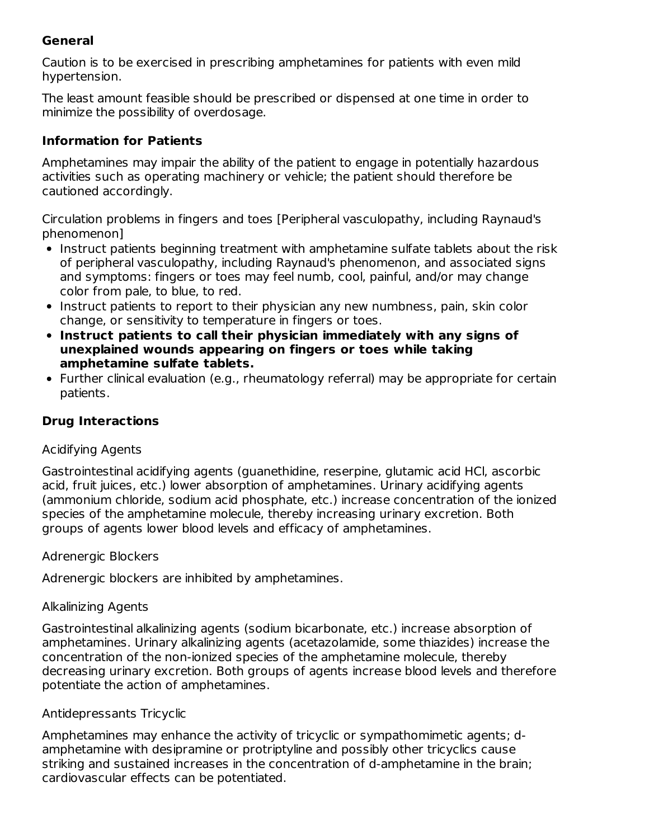# **General**

Caution is to be exercised in prescribing amphetamines for patients with even mild hypertension.

The least amount feasible should be prescribed or dispensed at one time in order to minimize the possibility of overdosage.

# **Information for Patients**

Amphetamines may impair the ability of the patient to engage in potentially hazardous activities such as operating machinery or vehicle; the patient should therefore be cautioned accordingly.

Circulation problems in fingers and toes [Peripheral vasculopathy, including Raynaud's phenomenon]

- Instruct patients beginning treatment with amphetamine sulfate tablets about the risk of peripheral vasculopathy, including Raynaud's phenomenon, and associated signs and symptoms: fingers or toes may feel numb, cool, painful, and/or may change color from pale, to blue, to red.
- Instruct patients to report to their physician any new numbness, pain, skin color change, or sensitivity to temperature in fingers or toes.
- **Instruct patients to call their physician immediately with any signs of unexplained wounds appearing on fingers or toes while taking amphetamine sulfate tablets.**
- Further clinical evaluation (e.g., rheumatology referral) may be appropriate for certain patients.

# **Drug Interactions**

# Acidifying Agents

Gastrointestinal acidifying agents (guanethidine, reserpine, glutamic acid HCl, ascorbic acid, fruit juices, etc.) lower absorption of amphetamines. Urinary acidifying agents (ammonium chloride, sodium acid phosphate, etc.) increase concentration of the ionized species of the amphetamine molecule, thereby increasing urinary excretion. Both groups of agents lower blood levels and efficacy of amphetamines.

#### Adrenergic Blockers

Adrenergic blockers are inhibited by amphetamines.

# Alkalinizing Agents

Gastrointestinal alkalinizing agents (sodium bicarbonate, etc.) increase absorption of amphetamines. Urinary alkalinizing agents (acetazolamide, some thiazides) increase the concentration of the non-ionized species of the amphetamine molecule, thereby decreasing urinary excretion. Both groups of agents increase blood levels and therefore potentiate the action of amphetamines.

# Antidepressants Tricyclic

Amphetamines may enhance the activity of tricyclic or sympathomimetic agents; damphetamine with desipramine or protriptyline and possibly other tricyclics cause striking and sustained increases in the concentration of d-amphetamine in the brain; cardiovascular effects can be potentiated.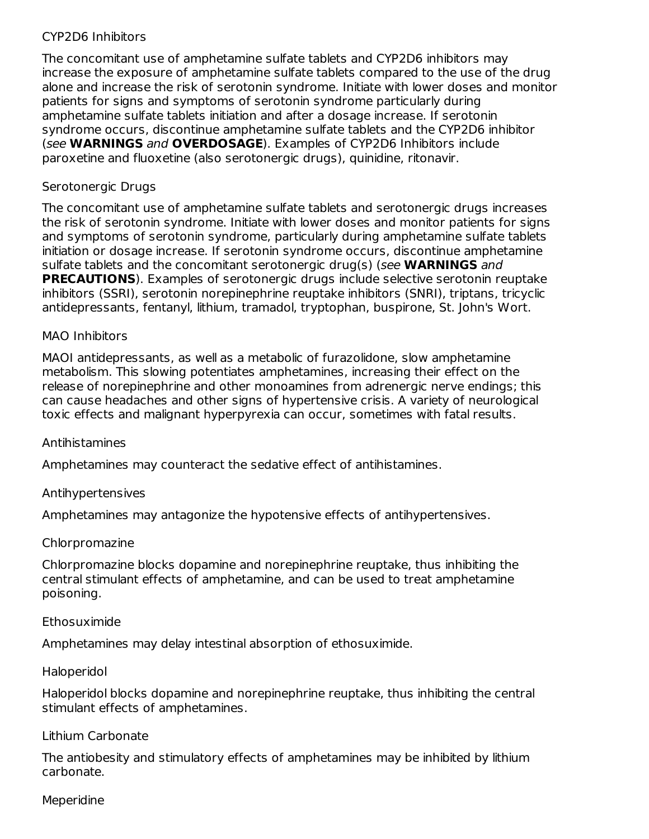## CYP2D6 Inhibitors

The concomitant use of amphetamine sulfate tablets and CYP2D6 inhibitors may increase the exposure of amphetamine sulfate tablets compared to the use of the drug alone and increase the risk of serotonin syndrome. Initiate with lower doses and monitor patients for signs and symptoms of serotonin syndrome particularly during amphetamine sulfate tablets initiation and after a dosage increase. If serotonin syndrome occurs, discontinue amphetamine sulfate tablets and the CYP2D6 inhibitor (see **WARNINGS** and **OVERDOSAGE**). Examples of CYP2D6 Inhibitors include paroxetine and fluoxetine (also serotonergic drugs), quinidine, ritonavir.

## Serotonergic Drugs

The concomitant use of amphetamine sulfate tablets and serotonergic drugs increases the risk of serotonin syndrome. Initiate with lower doses and monitor patients for signs and symptoms of serotonin syndrome, particularly during amphetamine sulfate tablets initiation or dosage increase. If serotonin syndrome occurs, discontinue amphetamine sulfate tablets and the concomitant serotonergic drug(s) (see **WARNINGS** and **PRECAUTIONS**). Examples of serotonergic drugs include selective serotonin reuptake inhibitors (SSRI), serotonin norepinephrine reuptake inhibitors (SNRI), triptans, tricyclic antidepressants, fentanyl, lithium, tramadol, tryptophan, buspirone, St. John's Wort.

#### MAO Inhibitors

MAOI antidepressants, as well as a metabolic of furazolidone, slow amphetamine metabolism. This slowing potentiates amphetamines, increasing their effect on the release of norepinephrine and other monoamines from adrenergic nerve endings; this can cause headaches and other signs of hypertensive crisis. A variety of neurological toxic effects and malignant hyperpyrexia can occur, sometimes with fatal results.

#### Antihistamines

Amphetamines may counteract the sedative effect of antihistamines.

#### Antihypertensives

Amphetamines may antagonize the hypotensive effects of antihypertensives.

#### Chlorpromazine

Chlorpromazine blocks dopamine and norepinephrine reuptake, thus inhibiting the central stimulant effects of amphetamine, and can be used to treat amphetamine poisoning.

#### Ethosuximide

Amphetamines may delay intestinal absorption of ethosuximide.

# Haloperidol

Haloperidol blocks dopamine and norepinephrine reuptake, thus inhibiting the central stimulant effects of amphetamines.

# Lithium Carbonate

The antiobesity and stimulatory effects of amphetamines may be inhibited by lithium carbonate.

# Meperidine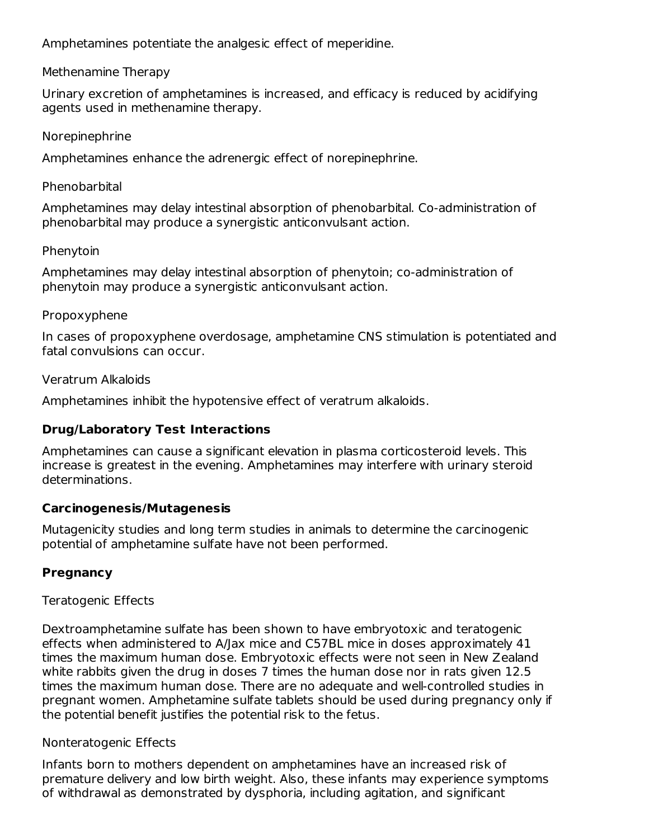Amphetamines potentiate the analgesic effect of meperidine.

#### Methenamine Therapy

Urinary excretion of amphetamines is increased, and efficacy is reduced by acidifying agents used in methenamine therapy.

Norepinephrine

Amphetamines enhance the adrenergic effect of norepinephrine.

## Phenobarbital

Amphetamines may delay intestinal absorption of phenobarbital. Co-administration of phenobarbital may produce a synergistic anticonvulsant action.

## Phenytoin

Amphetamines may delay intestinal absorption of phenytoin; co-administration of phenytoin may produce a synergistic anticonvulsant action.

## Propoxyphene

In cases of propoxyphene overdosage, amphetamine CNS stimulation is potentiated and fatal convulsions can occur.

## Veratrum Alkaloids

Amphetamines inhibit the hypotensive effect of veratrum alkaloids.

# **Drug/Laboratory Test Interactions**

Amphetamines can cause a significant elevation in plasma corticosteroid levels. This increase is greatest in the evening. Amphetamines may interfere with urinary steroid determinations.

# **Carcinogenesis/Mutagenesis**

Mutagenicity studies and long term studies in animals to determine the carcinogenic potential of amphetamine sulfate have not been performed.

# **Pregnancy**

# Teratogenic Effects

Dextroamphetamine sulfate has been shown to have embryotoxic and teratogenic effects when administered to A/Jax mice and C57BL mice in doses approximately 41 times the maximum human dose. Embryotoxic effects were not seen in New Zealand white rabbits given the drug in doses 7 times the human dose nor in rats given 12.5 times the maximum human dose. There are no adequate and well-controlled studies in pregnant women. Amphetamine sulfate tablets should be used during pregnancy only if the potential benefit justifies the potential risk to the fetus.

# Nonteratogenic Effects

Infants born to mothers dependent on amphetamines have an increased risk of premature delivery and low birth weight. Also, these infants may experience symptoms of withdrawal as demonstrated by dysphoria, including agitation, and significant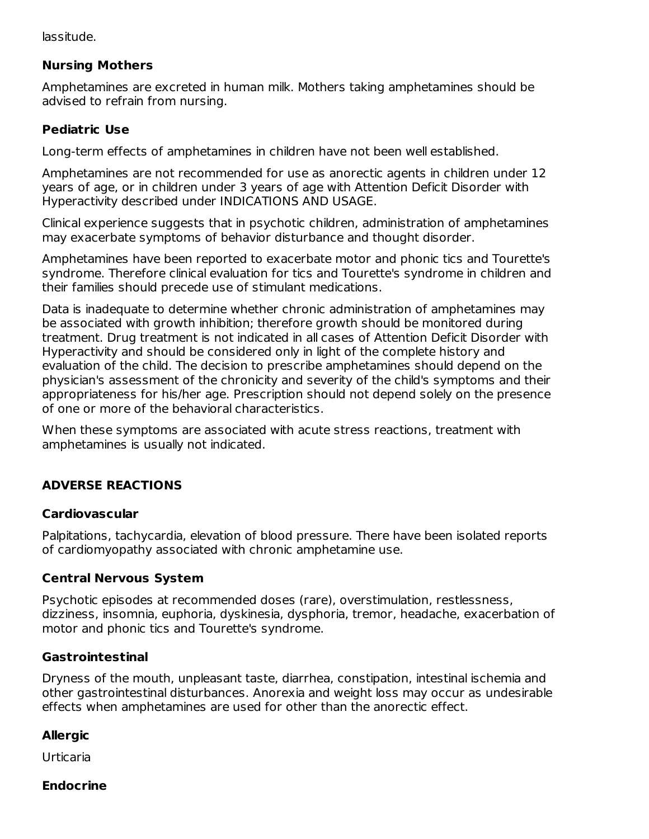lassitude.

# **Nursing Mothers**

Amphetamines are excreted in human milk. Mothers taking amphetamines should be advised to refrain from nursing.

## **Pediatric Use**

Long-term effects of amphetamines in children have not been well established.

Amphetamines are not recommended for use as anorectic agents in children under 12 years of age, or in children under 3 years of age with Attention Deficit Disorder with Hyperactivity described under INDICATIONS AND USAGE.

Clinical experience suggests that in psychotic children, administration of amphetamines may exacerbate symptoms of behavior disturbance and thought disorder.

Amphetamines have been reported to exacerbate motor and phonic tics and Tourette's syndrome. Therefore clinical evaluation for tics and Tourette's syndrome in children and their families should precede use of stimulant medications.

Data is inadequate to determine whether chronic administration of amphetamines may be associated with growth inhibition; therefore growth should be monitored during treatment. Drug treatment is not indicated in all cases of Attention Deficit Disorder with Hyperactivity and should be considered only in light of the complete history and evaluation of the child. The decision to prescribe amphetamines should depend on the physician's assessment of the chronicity and severity of the child's symptoms and their appropriateness for his/her age. Prescription should not depend solely on the presence of one or more of the behavioral characteristics.

When these symptoms are associated with acute stress reactions, treatment with amphetamines is usually not indicated.

# **ADVERSE REACTIONS**

#### **Cardiovascular**

Palpitations, tachycardia, elevation of blood pressure. There have been isolated reports of cardiomyopathy associated with chronic amphetamine use.

#### **Central Nervous System**

Psychotic episodes at recommended doses (rare), overstimulation, restlessness, dizziness, insomnia, euphoria, dyskinesia, dysphoria, tremor, headache, exacerbation of motor and phonic tics and Tourette's syndrome.

#### **Gastrointestinal**

Dryness of the mouth, unpleasant taste, diarrhea, constipation, intestinal ischemia and other gastrointestinal disturbances. Anorexia and weight loss may occur as undesirable effects when amphetamines are used for other than the anorectic effect.

#### **Allergic**

Urticaria

#### **Endocrine**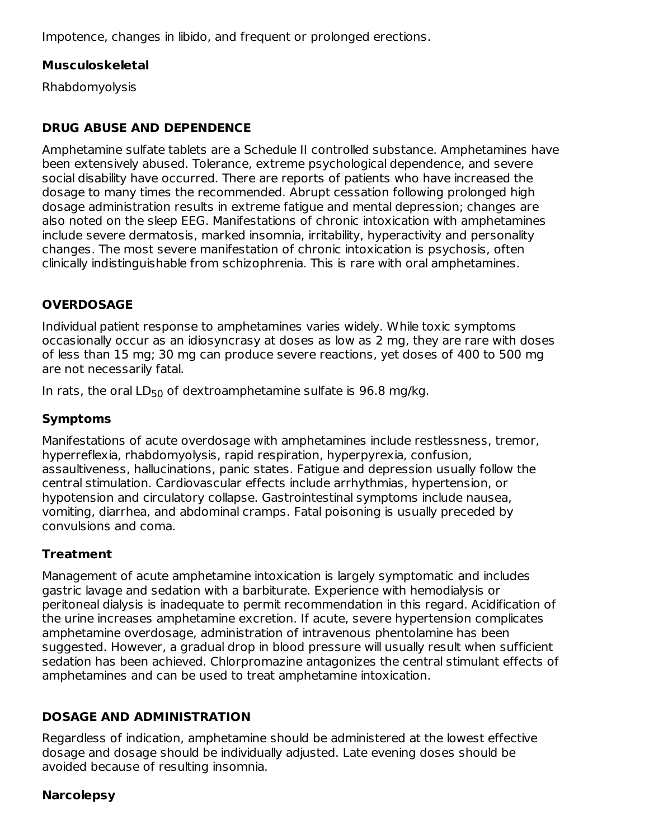Impotence, changes in libido, and frequent or prolonged erections.

# **Musculoskeletal**

Rhabdomyolysis

# **DRUG ABUSE AND DEPENDENCE**

Amphetamine sulfate tablets are a Schedule II controlled substance. Amphetamines have been extensively abused. Tolerance, extreme psychological dependence, and severe social disability have occurred. There are reports of patients who have increased the dosage to many times the recommended. Abrupt cessation following prolonged high dosage administration results in extreme fatigue and mental depression; changes are also noted on the sleep EEG. Manifestations of chronic intoxication with amphetamines include severe dermatosis, marked insomnia, irritability, hyperactivity and personality changes. The most severe manifestation of chronic intoxication is psychosis, often clinically indistinguishable from schizophrenia. This is rare with oral amphetamines.

# **OVERDOSAGE**

Individual patient response to amphetamines varies widely. While toxic symptoms occasionally occur as an idiosyncrasy at doses as low as 2 mg, they are rare with doses of less than 15 mg; 30 mg can produce severe reactions, yet doses of 400 to 500 mg are not necessarily fatal.

In rats, the oral  $LD_{50}$  of dextroamphetamine sulfate is  $96.8$  mg/kg.

# **Symptoms**

Manifestations of acute overdosage with amphetamines include restlessness, tremor, hyperreflexia, rhabdomyolysis, rapid respiration, hyperpyrexia, confusion, assaultiveness, hallucinations, panic states. Fatigue and depression usually follow the central stimulation. Cardiovascular effects include arrhythmias, hypertension, or hypotension and circulatory collapse. Gastrointestinal symptoms include nausea, vomiting, diarrhea, and abdominal cramps. Fatal poisoning is usually preceded by convulsions and coma.

# **Treatment**

Management of acute amphetamine intoxication is largely symptomatic and includes gastric lavage and sedation with a barbiturate. Experience with hemodialysis or peritoneal dialysis is inadequate to permit recommendation in this regard. Acidification of the urine increases amphetamine excretion. If acute, severe hypertension complicates amphetamine overdosage, administration of intravenous phentolamine has been suggested. However, a gradual drop in blood pressure will usually result when sufficient sedation has been achieved. Chlorpromazine antagonizes the central stimulant effects of amphetamines and can be used to treat amphetamine intoxication.

# **DOSAGE AND ADMINISTRATION**

Regardless of indication, amphetamine should be administered at the lowest effective dosage and dosage should be individually adjusted. Late evening doses should be avoided because of resulting insomnia.

#### **Narcolepsy**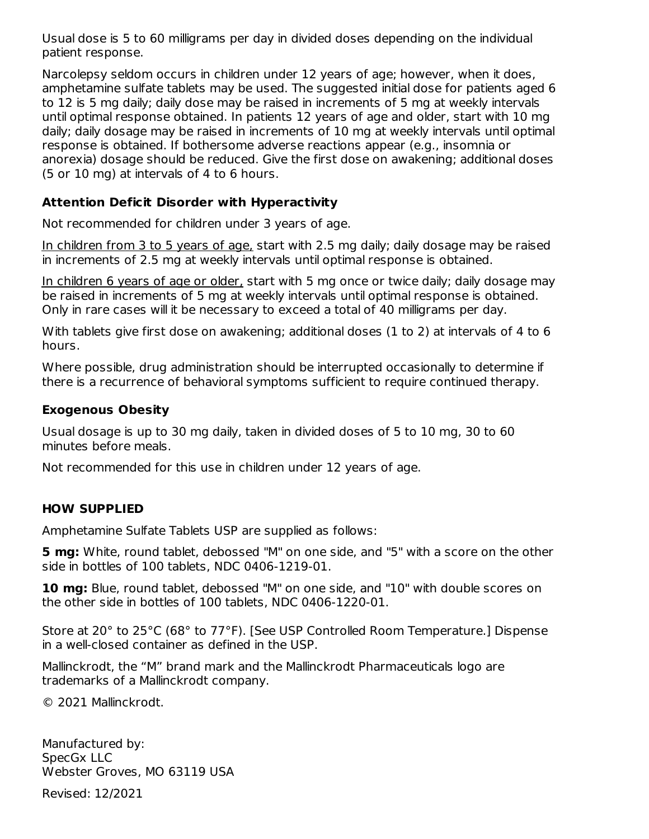Usual dose is 5 to 60 milligrams per day in divided doses depending on the individual patient response.

Narcolepsy seldom occurs in children under 12 years of age; however, when it does, amphetamine sulfate tablets may be used. The suggested initial dose for patients aged 6 to 12 is 5 mg daily; daily dose may be raised in increments of 5 mg at weekly intervals until optimal response obtained. In patients 12 years of age and older, start with 10 mg daily; daily dosage may be raised in increments of 10 mg at weekly intervals until optimal response is obtained. If bothersome adverse reactions appear (e.g., insomnia or anorexia) dosage should be reduced. Give the first dose on awakening; additional doses (5 or 10 mg) at intervals of 4 to 6 hours.

#### **Attention Deficit Disorder with Hyperactivity**

Not recommended for children under 3 years of age.

In children from 3 to 5 years of age, start with 2.5 mg daily; daily dosage may be raised in increments of 2.5 mg at weekly intervals until optimal response is obtained.

In children 6 years of age or older, start with 5 mg once or twice daily; daily dosage may be raised in increments of 5 mg at weekly intervals until optimal response is obtained. Only in rare cases will it be necessary to exceed a total of 40 milligrams per day.

With tablets give first dose on awakening; additional doses (1 to 2) at intervals of 4 to 6 hours.

Where possible, drug administration should be interrupted occasionally to determine if there is a recurrence of behavioral symptoms sufficient to require continued therapy.

#### **Exogenous Obesity**

Usual dosage is up to 30 mg daily, taken in divided doses of 5 to 10 mg, 30 to 60 minutes before meals.

Not recommended for this use in children under 12 years of age.

#### **HOW SUPPLIED**

Amphetamine Sulfate Tablets USP are supplied as follows:

**5 mg:** White, round tablet, debossed "M" on one side, and "5" with a score on the other side in bottles of 100 tablets, NDC 0406-1219-01.

**10 mg:** Blue, round tablet, debossed "M" on one side, and "10" with double scores on the other side in bottles of 100 tablets, NDC 0406-1220-01.

Store at 20° to 25°C (68° to 77°F). [See USP Controlled Room Temperature.] Dispense in a well-closed container as defined in the USP.

Mallinckrodt, the "M" brand mark and the Mallinckrodt Pharmaceuticals logo are trademarks of a Mallinckrodt company.

© 2021 Mallinckrodt.

Manufactured by: SpecGx LLC Webster Groves, MO 63119 USA

Revised: 12/2021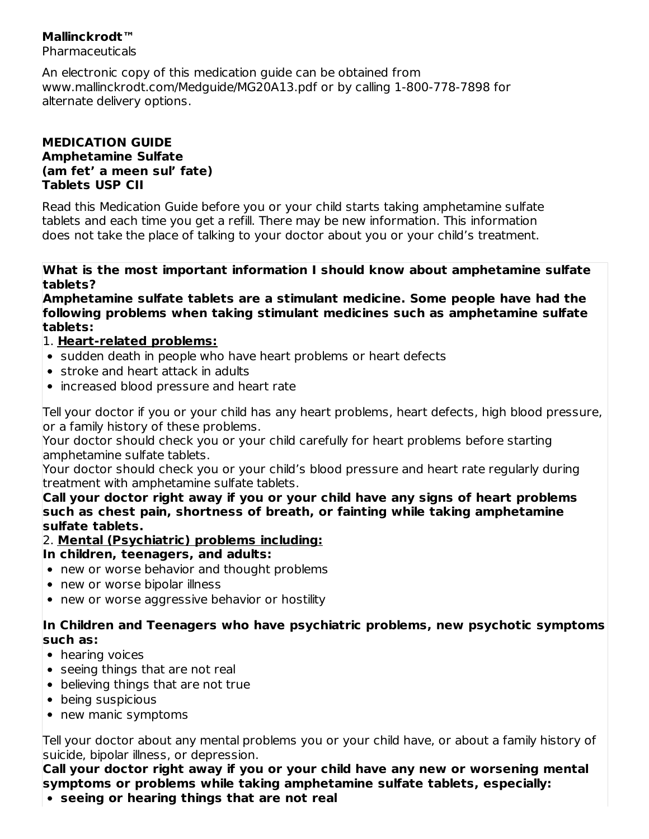# **Mallinckrodt™**

Pharmaceuticals

An electronic copy of this medication guide can be obtained from www.mallinckrodt.com/Medguide/MG20A13.pdf or by calling 1-800-778-7898 for alternate delivery options.

### **MEDICATION GUIDE Amphetamine Sulfate (am fet' a meen sul' fate) Tablets USP CII**

Read this Medication Guide before you or your child starts taking amphetamine sulfate tablets and each time you get a refill. There may be new information. This information does not take the place of talking to your doctor about you or your child's treatment.

**What is the most important information I should know about amphetamine sulfate tablets?**

**Amphetamine sulfate tablets are a stimulant medicine. Some people have had the following problems when taking stimulant medicines such as amphetamine sulfate tablets:**

# 1. **Heart-related problems:**

- sudden death in people who have heart problems or heart defects
- stroke and heart attack in adults
- increased blood pressure and heart rate

Tell your doctor if you or your child has any heart problems, heart defects, high blood pressure, or a family history of these problems.

Your doctor should check you or your child carefully for heart problems before starting amphetamine sulfate tablets.

Your doctor should check you or your child's blood pressure and heart rate regularly during treatment with amphetamine sulfate tablets.

**Call your doctor right away if you or your child have any signs of heart problems such as chest pain, shortness of breath, or fainting while taking amphetamine sulfate tablets.**

# 2. **Mental (Psychiatric) problems including:**

#### **In children, teenagers, and adults:**

- new or worse behavior and thought problems
- new or worse bipolar illness
- new or worse aggressive behavior or hostility

## **In Children and Teenagers who have psychiatric problems, new psychotic symptoms such as:**

- hearing voices
- seeing things that are not real
- believing things that are not true
- being suspicious
- new manic symptoms

Tell your doctor about any mental problems you or your child have, or about a family history of suicide, bipolar illness, or depression.

**Call your doctor right away if you or your child have any new or worsening mental symptoms or problems while taking amphetamine sulfate tablets, especially:**

**seeing or hearing things that are not real**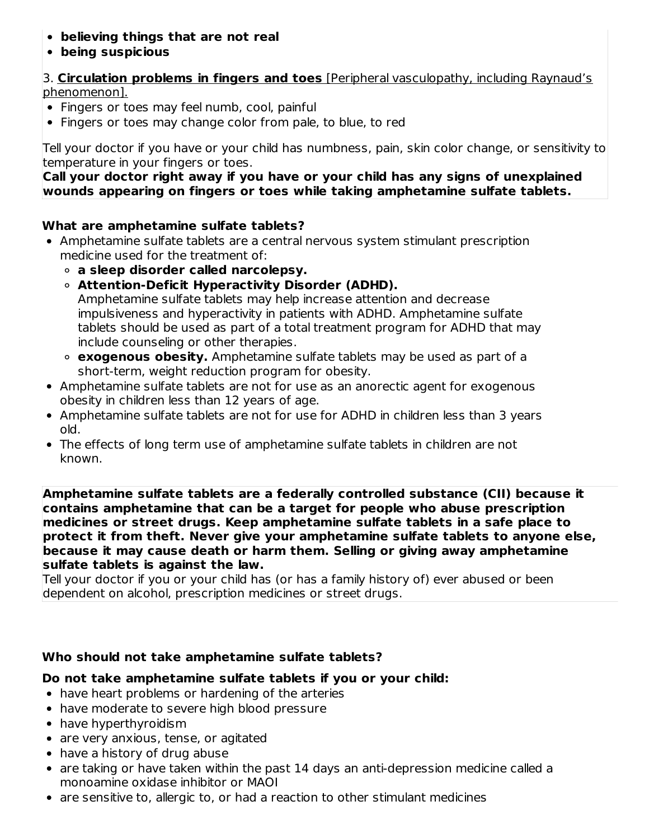# **believing things that are not real**

**being suspicious**

## 3. **Circulation problems in fingers and toes** [Peripheral vasculopathy, including Raynaud's phenomenon].

- Fingers or toes may feel numb, cool, painful
- Fingers or toes may change color from pale, to blue, to red

Tell your doctor if you have or your child has numbness, pain, skin color change, or sensitivity to temperature in your fingers or toes.

#### **Call your doctor right away if you have or your child has any signs of unexplained wounds appearing on fingers or toes while taking amphetamine sulfate tablets.**

## **What are amphetamine sulfate tablets?**

- Amphetamine sulfate tablets are a central nervous system stimulant prescription medicine used for the treatment of:
	- **a sleep disorder called narcolepsy.**
	- **Attention-Deficit Hyperactivity Disorder (ADHD).** Amphetamine sulfate tablets may help increase attention and decrease impulsiveness and hyperactivity in patients with ADHD. Amphetamine sulfate tablets should be used as part of a total treatment program for ADHD that may include counseling or other therapies.
	- **exogenous obesity.** Amphetamine sulfate tablets may be used as part of a short-term, weight reduction program for obesity.
- Amphetamine sulfate tablets are not for use as an anorectic agent for exogenous obesity in children less than 12 years of age.
- Amphetamine sulfate tablets are not for use for ADHD in children less than 3 years old.
- The effects of long term use of amphetamine sulfate tablets in children are not known.

**Amphetamine sulfate tablets are a federally controlled substance (CII) because it contains amphetamine that can be a target for people who abuse prescription medicines or street drugs. Keep amphetamine sulfate tablets in a safe place to protect it from theft. Never give your amphetamine sulfate tablets to anyone else, because it may cause death or harm them. Selling or giving away amphetamine sulfate tablets is against the law.**

Tell your doctor if you or your child has (or has a family history of) ever abused or been dependent on alcohol, prescription medicines or street drugs.

# **Who should not take amphetamine sulfate tablets?**

#### **Do not take amphetamine sulfate tablets if you or your child:**

- have heart problems or hardening of the arteries
- have moderate to severe high blood pressure
- have hyperthyroidism
- are very anxious, tense, or agitated
- have a history of drug abuse
- are taking or have taken within the past 14 days an anti-depression medicine called a monoamine oxidase inhibitor or MAOI
- are sensitive to, allergic to, or had a reaction to other stimulant medicines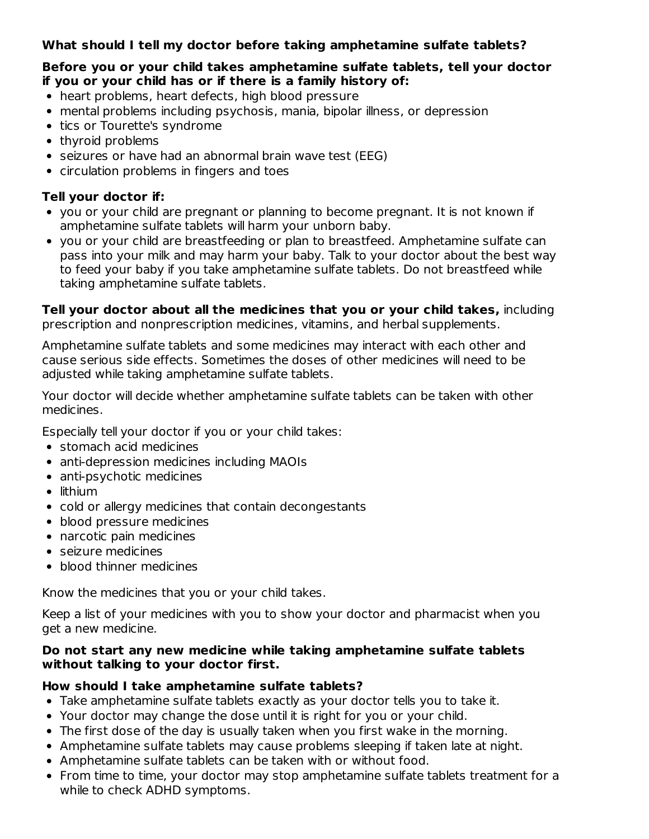# **What should I tell my doctor before taking amphetamine sulfate tablets?**

## **Before you or your child takes amphetamine sulfate tablets, tell your doctor if you or your child has or if there is a family history of:**

- heart problems, heart defects, high blood pressure
- mental problems including psychosis, mania, bipolar illness, or depression
- tics or Tourette's syndrome
- thyroid problems
- seizures or have had an abnormal brain wave test (EEG)
- circulation problems in fingers and toes

# **Tell your doctor if:**

- you or your child are pregnant or planning to become pregnant. It is not known if amphetamine sulfate tablets will harm your unborn baby.
- you or your child are breastfeeding or plan to breastfeed. Amphetamine sulfate can pass into your milk and may harm your baby. Talk to your doctor about the best way to feed your baby if you take amphetamine sulfate tablets. Do not breastfeed while taking amphetamine sulfate tablets.

**Tell your doctor about all the medicines that you or your child takes,** including prescription and nonprescription medicines, vitamins, and herbal supplements.

Amphetamine sulfate tablets and some medicines may interact with each other and cause serious side effects. Sometimes the doses of other medicines will need to be adjusted while taking amphetamine sulfate tablets.

Your doctor will decide whether amphetamine sulfate tablets can be taken with other medicines.

Especially tell your doctor if you or your child takes:

- stomach acid medicines
- anti-depression medicines including MAOIs
- anti-psychotic medicines
- $\bullet$  lithium
- cold or allergy medicines that contain decongestants
- blood pressure medicines
- narcotic pain medicines
- seizure medicines
- blood thinner medicines

Know the medicines that you or your child takes.

Keep a list of your medicines with you to show your doctor and pharmacist when you get a new medicine.

#### **Do not start any new medicine while taking amphetamine sulfate tablets without talking to your doctor first.**

# **How should I take amphetamine sulfate tablets?**

- Take amphetamine sulfate tablets exactly as your doctor tells you to take it.
- Your doctor may change the dose until it is right for you or your child.
- The first dose of the day is usually taken when you first wake in the morning.
- Amphetamine sulfate tablets may cause problems sleeping if taken late at night.
- Amphetamine sulfate tablets can be taken with or without food.
- From time to time, your doctor may stop amphetamine sulfate tablets treatment for a while to check ADHD symptoms.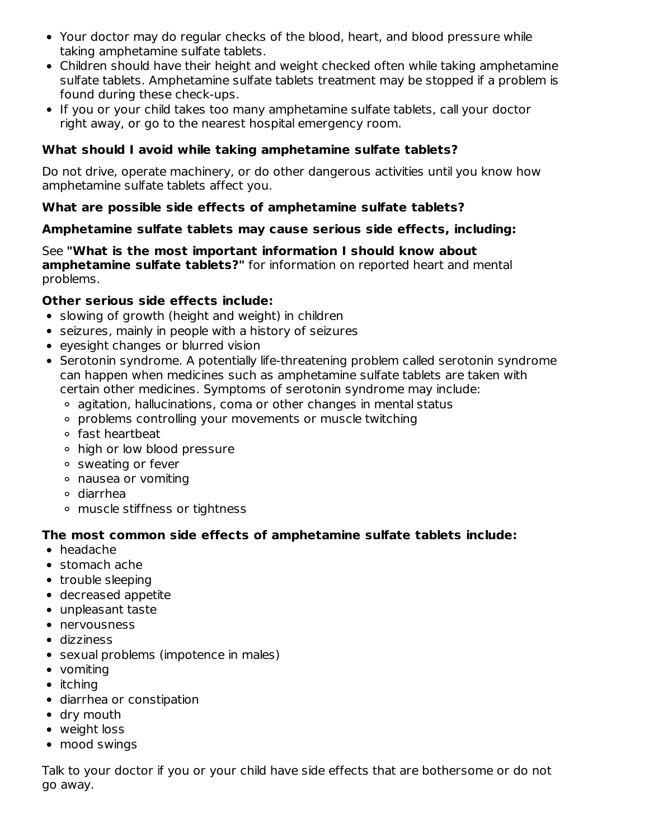- Your doctor may do regular checks of the blood, heart, and blood pressure while taking amphetamine sulfate tablets.
- Children should have their height and weight checked often while taking amphetamine sulfate tablets. Amphetamine sulfate tablets treatment may be stopped if a problem is found during these check-ups.
- If you or your child takes too many amphetamine sulfate tablets, call your doctor right away, or go to the nearest hospital emergency room.

## **What should I avoid while taking amphetamine sulfate tablets?**

Do not drive, operate machinery, or do other dangerous activities until you know how amphetamine sulfate tablets affect you.

## **What are possible side effects of amphetamine sulfate tablets?**

#### **Amphetamine sulfate tablets may cause serious side effects, including:**

See **"What is the most important information I should know about amphetamine sulfate tablets?"** for information on reported heart and mental problems.

## **Other serious side effects include:**

- slowing of growth (height and weight) in children
- seizures, mainly in people with a history of seizures
- eyesight changes or blurred vision
- Serotonin syndrome. A potentially life-threatening problem called serotonin syndrome can happen when medicines such as amphetamine sulfate tablets are taken with certain other medicines. Symptoms of serotonin syndrome may include:
	- agitation, hallucinations, coma or other changes in mental status
	- problems controlling your movements or muscle twitching
	- fast heartbeat
	- high or low blood pressure
	- o sweating or fever
	- nausea or vomiting
	- diarrhea
	- muscle stiffness or tightness

#### **The most common side effects of amphetamine sulfate tablets include:**

- headache
- stomach ache
- trouble sleeping
- decreased appetite
- unpleasant taste
- nervousness
- dizziness
- sexual problems (impotence in males)
- vomiting
- $\bullet$  itching
- diarrhea or constipation
- dry mouth
- weight loss
- mood swings

Talk to your doctor if you or your child have side effects that are bothersome or do not go away.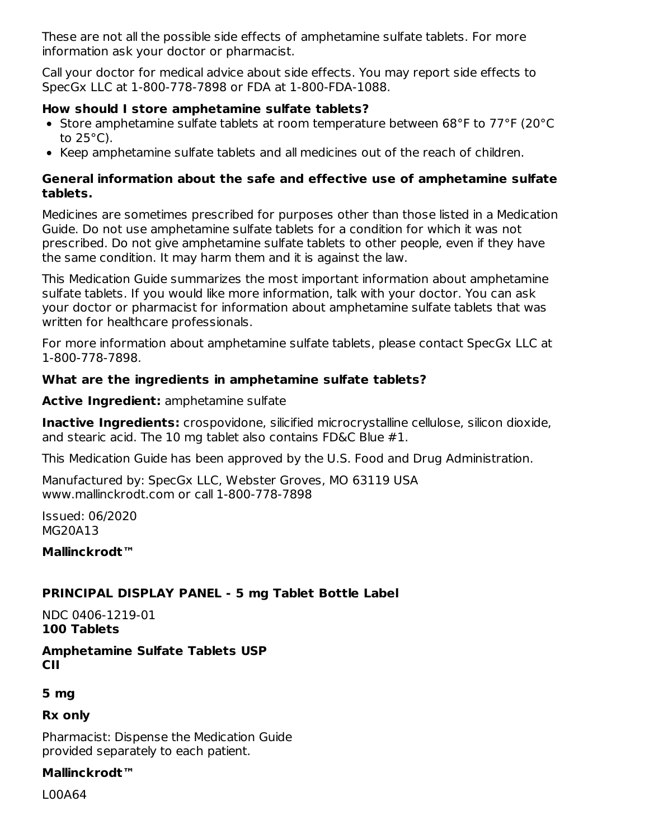These are not all the possible side effects of amphetamine sulfate tablets. For more information ask your doctor or pharmacist.

Call your doctor for medical advice about side effects. You may report side effects to SpecGx LLC at 1-800-778-7898 or FDA at 1-800-FDA-1088.

## **How should I store amphetamine sulfate tablets?**

- Store amphetamine sulfate tablets at room temperature between 68°F to 77°F (20°C to  $25^{\circ}$ C).
- Keep amphetamine sulfate tablets and all medicines out of the reach of children.

## **General information about the safe and effective use of amphetamine sulfate tablets.**

Medicines are sometimes prescribed for purposes other than those listed in a Medication Guide. Do not use amphetamine sulfate tablets for a condition for which it was not prescribed. Do not give amphetamine sulfate tablets to other people, even if they have the same condition. It may harm them and it is against the law.

This Medication Guide summarizes the most important information about amphetamine sulfate tablets. If you would like more information, talk with your doctor. You can ask your doctor or pharmacist for information about amphetamine sulfate tablets that was written for healthcare professionals.

For more information about amphetamine sulfate tablets, please contact SpecGx LLC at 1-800-778-7898.

## **What are the ingredients in amphetamine sulfate tablets?**

**Active Ingredient:** amphetamine sulfate

**Inactive Ingredients:** crospovidone, silicified microcrystalline cellulose, silicon dioxide, and stearic acid. The 10 mg tablet also contains FD&C Blue #1.

This Medication Guide has been approved by the U.S. Food and Drug Administration.

Manufactured by: SpecGx LLC, Webster Groves, MO 63119 USA www.mallinckrodt.com or call 1-800-778-7898

Issued: 06/2020 MG20A13

**Mallinckrodt™**

# **PRINCIPAL DISPLAY PANEL - 5 mg Tablet Bottle Label**

NDC 0406-1219-01 **100 Tablets**

#### **Amphetamine Sulfate Tablets USP CII**

#### **5 mg**

#### **Rx only**

Pharmacist: Dispense the Medication Guide provided separately to each patient.

#### **Mallinckrodt™**

L00A64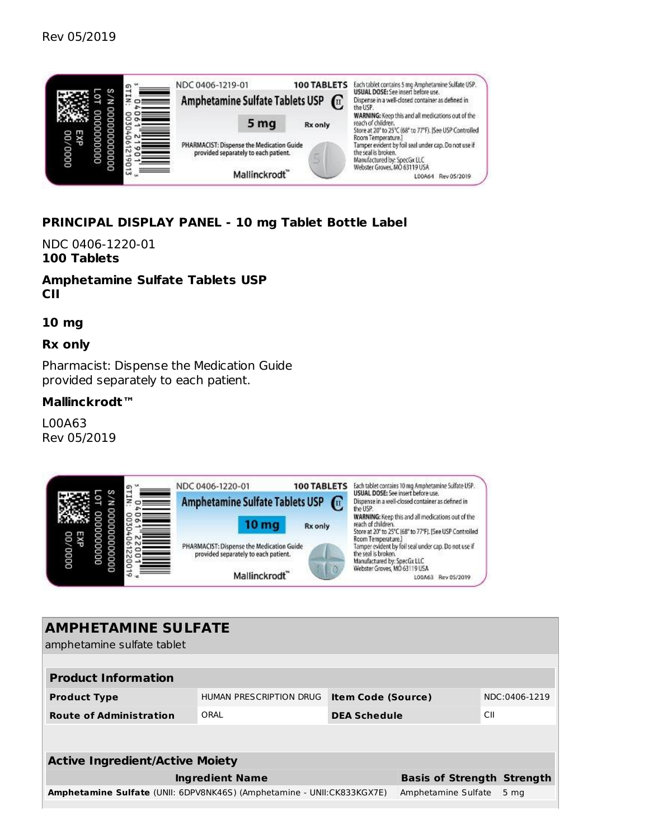

# **PRINCIPAL DISPLAY PANEL - 10 mg Tablet Bottle Label**

NDC 0406-1220-01 **100 Tablets**

**Amphetamine Sulfate Tablets USP CII**

**10 mg**

#### **Rx only**

Pharmacist: Dispense the Medication Guide provided separately to each patient.

#### **Mallinckrodt™**

L00A63 Rev 05/2019



# **AMPHETAMINE SULFATE** amphetamine sulfate tablet **Product Information Product Type** HUMAN PRESCRIPTION DRUG **Item Code (Source)** NDC:0406-1219 **Route of Administration** ORAL **DEA Schedule** CII **Active Ingredient/Active Moiety Ingredient Name Basis of Strength Strength Amphetamine Sulfate** (UNII: 6DPV8NK46S) (Amphetamine - UNII:CK833KGX7E) Amphetamine Sulfate 5 mg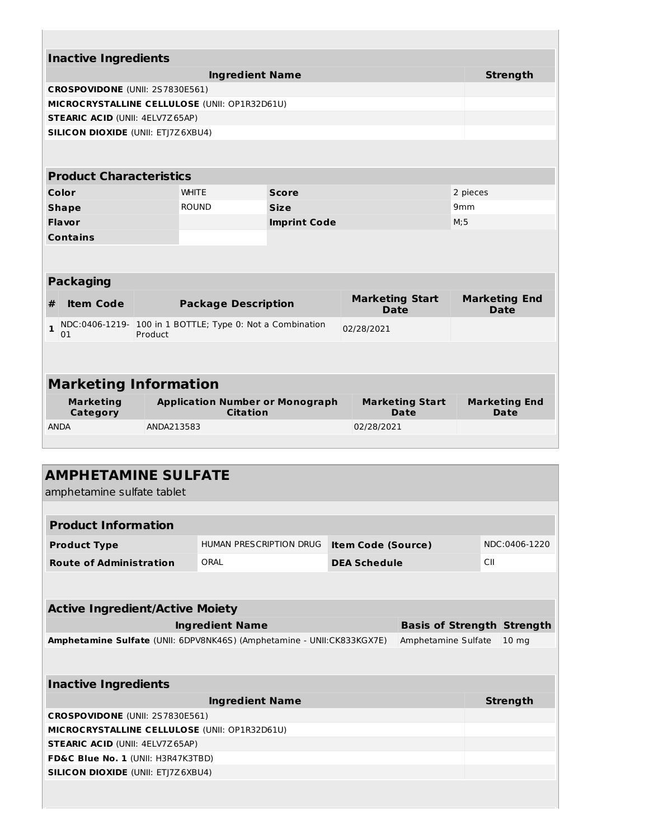| <b>Inactive Ingredients</b>                   |                        |                     |                        |                      |  |  |  |  |
|-----------------------------------------------|------------------------|---------------------|------------------------|----------------------|--|--|--|--|
|                                               | <b>Ingredient Name</b> |                     |                        | <b>Strength</b>      |  |  |  |  |
| CROSPOVIDONE (UNII: 2S7830E561)               |                        |                     |                        |                      |  |  |  |  |
| MICROCRYSTALLINE CELLULOSE (UNII: OP1R32D61U) |                        |                     |                        |                      |  |  |  |  |
| <b>STEARIC ACID (UNII: 4ELV7Z65AP)</b>        |                        |                     |                        |                      |  |  |  |  |
| <b>SILICON DIOXIDE (UNII: ETJ7Z6XBU4)</b>     |                        |                     |                        |                      |  |  |  |  |
|                                               |                        |                     |                        |                      |  |  |  |  |
| <b>Product Characteristics</b>                |                        |                     |                        |                      |  |  |  |  |
| Color                                         | <b>WHITE</b>           | <b>Score</b>        |                        | 2 pieces             |  |  |  |  |
| <b>Shape</b>                                  | <b>ROUND</b>           | <b>Size</b>         |                        | 9 <sub>mm</sub>      |  |  |  |  |
| <b>Flavor</b>                                 |                        | <b>Imprint Code</b> |                        | M;5                  |  |  |  |  |
| <b>Contains</b>                               |                        |                     |                        |                      |  |  |  |  |
|                                               |                        |                     |                        |                      |  |  |  |  |
|                                               |                        |                     |                        |                      |  |  |  |  |
| <b>Packaging</b>                              |                        |                     |                        |                      |  |  |  |  |
| $+$<br>Hom Codo                               | Daekaan Decerintian    |                     | <b>Marketing Start</b> | <b>Marketing End</b> |  |  |  |  |

|                       | <b>Item Code</b> | <b>Package Description</b>                                           | <b>Marketing Start</b><br><b>Date</b> | <b>Marketing End</b><br><b>Date</b> |  |  |
|-----------------------|------------------|----------------------------------------------------------------------|---------------------------------------|-------------------------------------|--|--|
|                       | -01              | NDC:0406-1219- 100 in 1 BOTTLE; Type 0: Not a Combination<br>Product | 02/28/2021                            |                                     |  |  |
|                       |                  |                                                                      |                                       |                                     |  |  |
| Markating Information |                  |                                                                      |                                       |                                     |  |  |

| <b>Marketing Information</b> |                                                           |                                |                              |  |  |  |
|------------------------------|-----------------------------------------------------------|--------------------------------|------------------------------|--|--|--|
| <b>Marketing</b><br>Category | <b>Application Number or Monograph</b><br><b>Citation</b> | <b>Marketing Start</b><br>Date | <b>Marketing End</b><br>Date |  |  |  |
| <b>ANDA</b>                  | ANDA213583                                                | 02/28/2021                     |                              |  |  |  |
|                              |                                                           |                                |                              |  |  |  |

| AMPHETAMINE SULFATE<br>amphetamine sulfate tablet                                             |                                   |                           |  |     |                  |  |  |
|-----------------------------------------------------------------------------------------------|-----------------------------------|---------------------------|--|-----|------------------|--|--|
|                                                                                               |                                   |                           |  |     |                  |  |  |
| <b>Product Information</b>                                                                    |                                   |                           |  |     |                  |  |  |
| <b>Product Type</b>                                                                           | HUMAN PRESCRIPTION DRUG           | <b>Item Code (Source)</b> |  |     | NDC:0406-1220    |  |  |
| <b>Route of Administration</b>                                                                | ORAI<br><b>DEA Schedule</b>       |                           |  | CII |                  |  |  |
|                                                                                               |                                   |                           |  |     |                  |  |  |
| <b>Active Ingredient/Active Moiety</b>                                                        |                                   |                           |  |     |                  |  |  |
| <b>Ingredient Name</b>                                                                        | <b>Basis of Strength Strength</b> |                           |  |     |                  |  |  |
| Amphetamine Sulfate (UNII: 6DPV8NK46S) (Amphetamine - UNII:CK833KGX7E)<br>Amphetamine Sulfate |                                   |                           |  |     | 10 <sub>mg</sub> |  |  |
|                                                                                               |                                   |                           |  |     |                  |  |  |
| <b>Inactive Ingredients</b>                                                                   |                                   |                           |  |     |                  |  |  |
| <b>Ingredient Name</b>                                                                        |                                   |                           |  |     | <b>Strength</b>  |  |  |
| CROSPOVIDONE (UNII: 2S7830E561)                                                               |                                   |                           |  |     |                  |  |  |

 $\overline{\phantom{a}}$ 

| <b>Inactive Ingredients</b>                   |                 |  |  |  |  |  |
|-----------------------------------------------|-----------------|--|--|--|--|--|
| <b>Ingredient Name</b>                        | <b>Strength</b> |  |  |  |  |  |
| <b>CROSPOVIDONE</b> (UNII: 2S7830E561)        |                 |  |  |  |  |  |
| MICROCRYSTALLINE CELLULOSE (UNII: OP1R32D61U) |                 |  |  |  |  |  |
| <b>STEARIC ACID (UNII: 4ELV7Z65AP)</b>        |                 |  |  |  |  |  |
| <b>FD&amp;C Blue No. 1 (UNII: H3R47K3TBD)</b> |                 |  |  |  |  |  |
| <b>SILICON DIOXIDE (UNII: ETJ7Z6XBU4)</b>     |                 |  |  |  |  |  |
|                                               |                 |  |  |  |  |  |